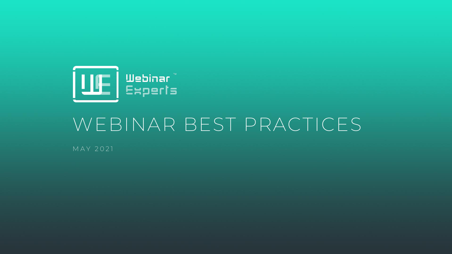

## WEBINAR BEST PRACTICES

M A Y 2021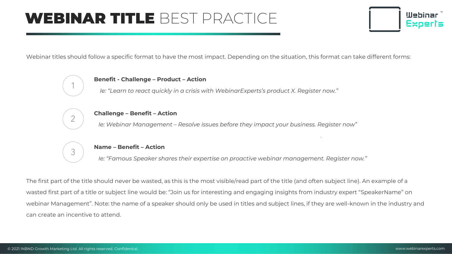## WEBINAR TITLE BEST PRACTICE



Webinar titles should follow a specific format to have the most impact. Depending on the situation, this format can take different forms:

# 1

#### **Benefit - Challenge – Product – Action**

*Ie: "Learn to react quickly in a crisis with WebinarExperts's product X. Register now."*



#### **Challenge – Benefit – Action**

*Ie: Webinar Management – Resolve issues before they impact your business. Register now"*



#### **Name – Benefit – Action**

*Ie: "Famous Speaker shares their expertise on proactive webinar management. Register now."*

The first part of the title should never be wasted, as this is the most visible/read part of the title (and often subject line). An example of a wasted first part of a title or subject line would be: "Join us for interesting and engaging insights from industry expert "SpeakerName" on webinar Management". Note: the name of a speaker should only be used in titles and subject lines, if they are well-known in the industry and can create an incentive to attend.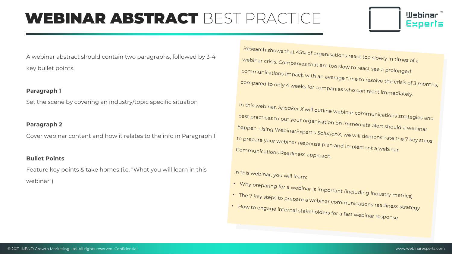## WEBINAR ABSTRACT BEST PRACTICE



A webinar abstract should contain two paragraphs, followed by 3-4 key bullet points.

#### **Paragraph 1**

Set the scene by covering an industry/topic specific situation

#### **Paragraph 2**

Cover webinar content and how it relates to the info in Paragraph 1

#### **Bullet Points**

Feature key points & take homes (i.e. "What you will learn in this webinar")

Research shows that 45% of organisations react too slowly in times of a<br>Webinar crisis. Companies that are to see the control of a webinar crisis. Companies that are too slow to react see a prolonged<br>Communications impact with communications impact, with an average time to resolve the crisis of 3 months,<br>compared to only 4 weeks for companies compared to only 4 weeks for companies who can react immediately.

In this webinar, *Speaker X* will outline webinar communications strategies and<br>best practices to put your organisation on : best practices to put your organisation on immediate alert should a webinar<br>happen. Using WebinarExpert's Soluti happen. Using WebinarExpert's SolutionX, we will demonstrate the 7 key steps<br>to prepare your webinar response plane ... ... to prepare your webinar response plan and implement a webinar<br>Communications Readiness Communications Readiness approach.

#### In this webinar, you will learn:

- Why preparing for a webinar is important (including industry metrics)<br>• The 7 key steps to prepare a wak:
- The 7 key steps to prepare a webinar communications readiness strategy<br>• How to engage internal stakebolds as
- How to engage internal stakeholders for a fast webinar response<br>Fig. 1 How to engage internal stakeholders for a fast webinar response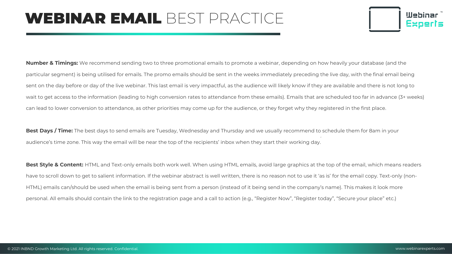## WEBINAR EMAIL BEST PRACTICE



**Number & Timings:** We recommend sending two to three promotional emails to promote a webinar, depending on how heavily your database (and the particular segment) is being utilised for emails. The promo emails should be sent in the weeks immediately preceding the live day, with the final email being sent on the day before or day of the live webinar. This last email is very impactful, as the audience will likely know if they are available and there is not long to wait to get access to the information (leading to high conversion rates to attendance from these emails). Emails that are scheduled too far in advance (3+ weeks) can lead to lower conversion to attendance, as other priorities may come up for the audience, or they forget why they registered in the first place.

**Best Days / Time:** The best days to send emails are Tuesday, Wednesday and Thursday and we usually recommend to schedule them for 8am in your audience's time zone. This way the email will be near the top of the recipients' inbox when they start their working day.

**Best Style & Content:** HTML and Text-only emails both work well. When using HTML emails, avoid large graphics at the top of the email, which means readers have to scroll down to get to salient information. If the webinar abstract is well written, there is no reason not to use it 'as is' for the email copy. Text-only (non-HTML) emails can/should be used when the email is being sent from a person (instead of it being send in the company's name). This makes it look more personal. All emails should contain the link to the registration page and a call to action (e.g., "Register Now", "Register today", "Secure your place" etc.)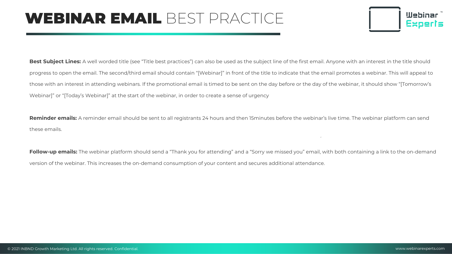## WEBINAR EMAIL BEST PRACTICE



**Best Subject Lines:** A well worded title (see "Title best practices") can also be used as the subject line of the first email. Anyone with an interest in the title should progress to open the email. The second/third email should contain "[Webinar]" in front of the title to indicate that the email promotes a webinar. This will appeal to those with an interest in attending webinars. If the promotional email is timed to be sent on the day before or the day of the webinar, it should show "[Tomorrow's Webinar]" or "[Today's Webinar]" at the start of the webinar, in order to create a sense of urgency

**Reminder emails:** A reminder email should be sent to all registrants 24 hours and then 15minutes before the webinar's live time. The webinar platform can send these emails.

Follow-up emails: The webinar platform should send a "Thank you for attending" and a "Sorry we missed you" email, with both containing a link to the on-demand version of the webinar. This increases the on-demand consumption of your content and secures additional attendance.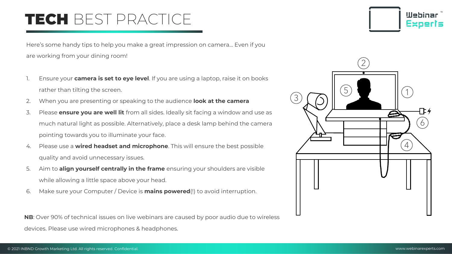## TECH BEST PRACTICE

Here's some handy tips to help you make a great impression on camera… Even if you are working from your dining room!

- 1. Ensure your **camera is set to eye level**. If you are using a laptop, raise it on books rather than tilting the screen.
- 2. When you are presenting or speaking to the audience **look at the camera**
- 3. Please **ensure you are well lit** from all sides. Ideally sit facing a window and use as much natural light as possible. Alternatively, place a desk lamp behind the camera pointing towards you to illuminate your face.
- 4. Please use a **wired headset and microphone**. This will ensure the best possible quality and avoid unnecessary issues.
- 5. Aim to **align yourself centrally in the frame** ensuring your shoulders are visible while allowing a little space above your head.
- 6. Make sure your Computer / Device is **mains powered**(!) to avoid interruption.

**NB**: Over 90% of technical issues on live webinars are caused by poor audio due to wireless devices. Please use wired microphones & headphones.